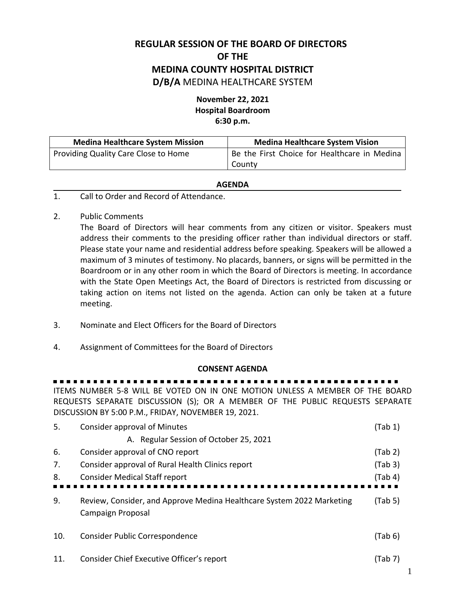# **REGULAR SESSION OF THE BOARD OF DIRECTORS OF THE MEDINA COUNTY HOSPITAL DISTRICT D/B/A** MEDINA HEALTHCARE SYSTEM

## **November 22, 2021 Hospital Boardroom 6:30 p.m.**

| <b>Medina Healthcare System Mission</b> | <b>Medina Healthcare System Vision</b>       |  |
|-----------------------------------------|----------------------------------------------|--|
| Providing Quality Care Close to Home    | Be the First Choice for Healthcare in Medina |  |
|                                         | County                                       |  |

### **AGENDA**

- 1. Call to Order and Record of Attendance.
- 2. Public Comments

The Board of Directors will hear comments from any citizen or visitor. Speakers must address their comments to the presiding officer rather than individual directors or staff. Please state your name and residential address before speaking. Speakers will be allowed a maximum of 3 minutes of testimony. No placards, banners, or signs will be permitted in the Boardroom or in any other room in which the Board of Directors is meeting. In accordance with the State Open Meetings Act, the Board of Directors is restricted from discussing or taking action on items not listed on the agenda. Action can only be taken at a future meeting.

- 3. Nominate and Elect Officers for the Board of Directors
- 4. Assignment of Committees for the Board of Directors

### **CONSENT AGENDA**

### ---------

ITEMS NUMBER 5-8 WILL BE VOTED ON IN ONE MOTION UNLESS A MEMBER OF THE BOARD REQUESTS SEPARATE DISCUSSION (S); OR A MEMBER OF THE PUBLIC REQUESTS SEPARATE DISCUSSION BY 5:00 P.M., FRIDAY, NOVEMBER 19, 2021.

| 5.  | <b>Consider approval of Minutes</b>                                                        | (Tab 1) |
|-----|--------------------------------------------------------------------------------------------|---------|
|     | A. Regular Session of October 25, 2021                                                     |         |
| 6.  | Consider approval of CNO report                                                            | (Tab 2) |
| 7.  | Consider approval of Rural Health Clinics report                                           | (Tab 3) |
| 8.  | <b>Consider Medical Staff report</b>                                                       | (Tab 4) |
|     |                                                                                            |         |
| 9.  | Review, Consider, and Approve Medina Healthcare System 2022 Marketing<br>Campaign Proposal | (Tab 5) |
| 10. | Consider Public Correspondence                                                             | (Tab 6) |
| 11. | Consider Chief Executive Officer's report                                                  | (Tab 7) |